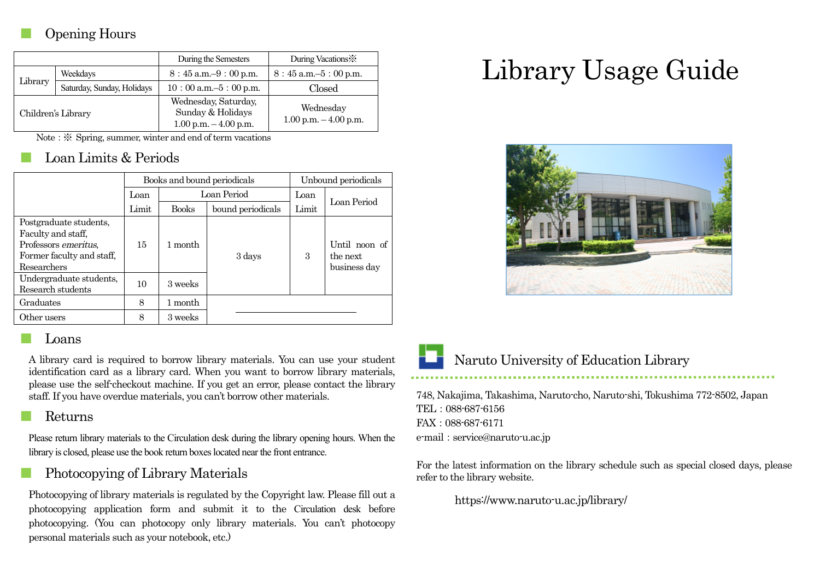## Opening Hours

|                    |                            | During the Semesters                                                  | During Vacations:                     |  |
|--------------------|----------------------------|-----------------------------------------------------------------------|---------------------------------------|--|
| Library            | Weekdays                   | $8:45$ a.m. $-9:00$ p.m.                                              | $8:45$ a.m. $-5:00$ p.m.              |  |
|                    | Saturday, Sunday, Holidays | $10:00$ a.m. $-5:00$ p.m.                                             | Closed                                |  |
| Children's Library |                            | Wednesday, Saturday,<br>Sunday & Holidays<br>$1.00$ p.m. $-4.00$ p.m. | Wednesday<br>$1.00$ p.m. $-4.00$ p.m. |  |

Note: ※ Spring, summer, winter and end of term vacations

## Loan Limits & Periods

|                                                                                                                  | Books and bound periodicals |              |                   | Unbound periodicals |                                           |
|------------------------------------------------------------------------------------------------------------------|-----------------------------|--------------|-------------------|---------------------|-------------------------------------------|
|                                                                                                                  | Loan                        | Loan Period  |                   | Loan                | Loan Period                               |
|                                                                                                                  | Limit                       | <b>Books</b> | bound periodicals | Limit               |                                           |
| Postgraduate students,<br>Faculty and staff,<br>Professors emeritus,<br>Former faculty and staff,<br>Researchers | 15                          | 1 month      | 3 days            | 3                   | Until noon of<br>the next<br>business day |
| Undergraduate students,<br>Research students                                                                     | 10                          | 3 weeks      |                   |                     |                                           |
| Graduates                                                                                                        | 8                           | 1 month      |                   |                     |                                           |
| Other users                                                                                                      | 8                           | 3 weeks      |                   |                     |                                           |

#### **Loans**

A library card is required to borrow library materials. You can use your student identification card as a library card. When you want to borrow library materials, please use the self-checkout machine. If you get an error, please contact the library staff. If you have overdue materials, you can't borrow other materials.

#### **Returns**

Please return library materials to the Circulation desk during the library opening hours. When the library is closed, please use the book return boxes located near the front entrance.

## Photocopying of Library Materials

Photocopying of library materials is regulated by the Copyright law. Please fill out a photocopying application form and submit it to the Circulation desk before photocopying. (You can photocopy only library materials. You can't photocopy personal materials such as your notebook, etc.)

# Library Usage Guide





### Naruto University of Education Library

748, Nakajima, Takashima, Naruto-cho, Naruto-shi, Tokushima 772-8502, Japan TEL:088-687-6156 FAX:088-687-6171 e-mail: service@naruto-u.ac.jp

For the latest information on the library schedule such as special closed days, please refer to the library website.

https://www.naruto-u.ac.jp/library/